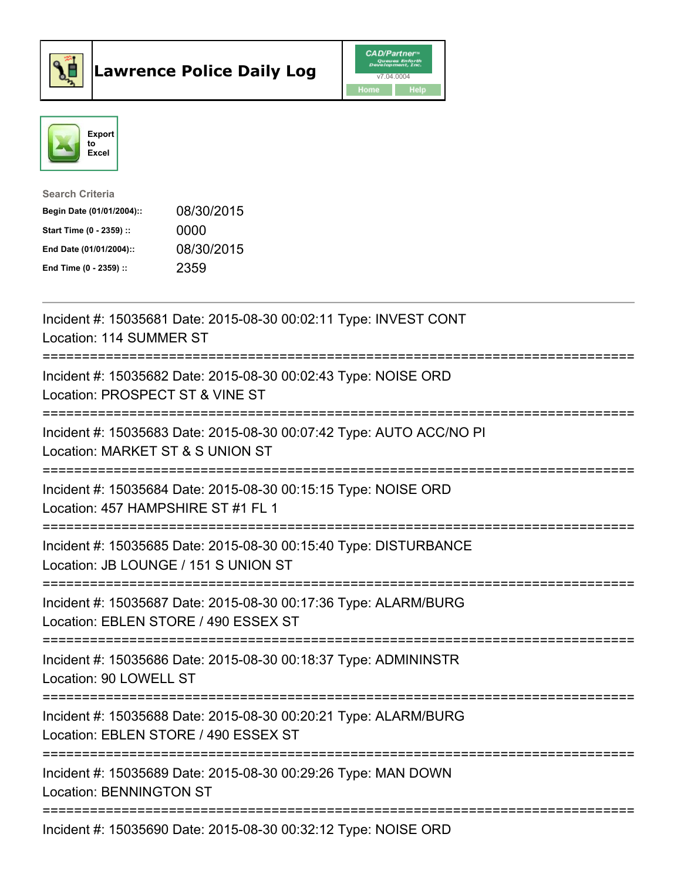



| <b>Search Criteria</b>    |            |
|---------------------------|------------|
| Begin Date (01/01/2004):: | 08/30/2015 |
| Start Time (0 - 2359) ::  | 0000       |
| End Date (01/01/2004)::   | 08/30/2015 |
| End Time $(0 - 2359)$ :   | 2359       |

| Incident #: 15035681 Date: 2015-08-30 00:02:11 Type: INVEST CONT<br>Location: 114 SUMMER ST                                                                                          |
|--------------------------------------------------------------------------------------------------------------------------------------------------------------------------------------|
| Incident #: 15035682 Date: 2015-08-30 00:02:43 Type: NOISE ORD<br>Location: PROSPECT ST & VINE ST<br>-----------------------                                                         |
| Incident #: 15035683 Date: 2015-08-30 00:07:42 Type: AUTO ACC/NO PI<br>Location: MARKET ST & S UNION ST<br>:=========================                                                |
| Incident #: 15035684 Date: 2015-08-30 00:15:15 Type: NOISE ORD<br>Location: 457 HAMPSHIRE ST #1 FL 1                                                                                 |
| Incident #: 15035685 Date: 2015-08-30 00:15:40 Type: DISTURBANCE<br>Location: JB LOUNGE / 151 S UNION ST<br>;==============================                                          |
| Incident #: 15035687 Date: 2015-08-30 00:17:36 Type: ALARM/BURG<br>Location: EBLEN STORE / 490 ESSEX ST<br>====================================<br>:================================ |
| Incident #: 15035686 Date: 2015-08-30 00:18:37 Type: ADMININSTR<br>Location: 90 LOWELL ST                                                                                            |
| Incident #: 15035688 Date: 2015-08-30 00:20:21 Type: ALARM/BURG<br>Location: EBLEN STORE / 490 ESSEX ST                                                                              |
| ==========================<br>;================================<br>Incident #: 15035689 Date: 2015-08-30 00:29:26 Type: MAN DOWN<br><b>Location: BENNINGTON ST</b>                   |
| Incident #: 15035690 Date: 2015-08-30 00:32:12 Type: NOISE ORD                                                                                                                       |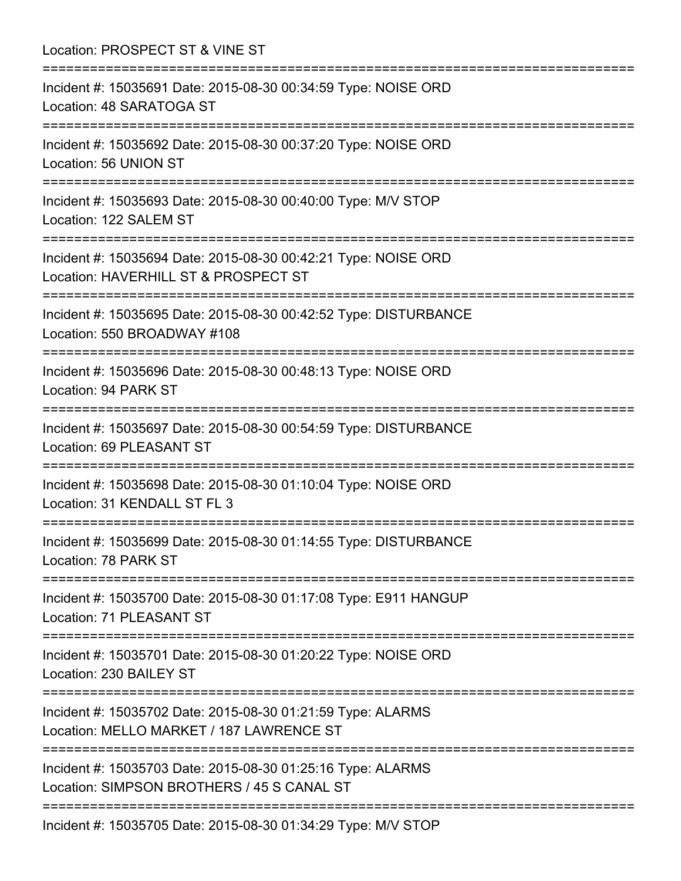Location: PROSPECT ST & VINE ST =========================================================================== Incident #: 15035691 Date: 2015-08-30 00:34:59 Type: NOISE ORD Location: 48 SARATOGA ST =========================================================================== Incident #: 15035692 Date: 2015-08-30 00:37:20 Type: NOISE ORD Location: 56 UNION ST =========================================================================== Incident #: 15035693 Date: 2015-08-30 00:40:00 Type: M/V STOP Location: 122 SALEM ST =========================================================================== Incident #: 15035694 Date: 2015-08-30 00:42:21 Type: NOISE ORD Location: HAVERHILL ST & PROSPECT ST =========================================================================== Incident #: 15035695 Date: 2015-08-30 00:42:52 Type: DISTURBANCE Location: 550 BROADWAY #108 =========================================================================== Incident #: 15035696 Date: 2015-08-30 00:48:13 Type: NOISE ORD Location: 94 PARK ST =========================================================================== Incident #: 15035697 Date: 2015-08-30 00:54:59 Type: DISTURBANCE Location: 69 PLEASANT ST =========================================================================== Incident #: 15035698 Date: 2015-08-30 01:10:04 Type: NOISE ORD Location: 31 KENDALL ST FL 3 =========================================================================== Incident #: 15035699 Date: 2015-08-30 01:14:55 Type: DISTURBANCE Location: 78 PARK ST =========================================================================== Incident #: 15035700 Date: 2015-08-30 01:17:08 Type: E911 HANGUP Location: 71 PLEASANT ST =========================================================================== Incident #: 15035701 Date: 2015-08-30 01:20:22 Type: NOISE ORD Location: 230 BAILEY ST =========================================================================== Incident #: 15035702 Date: 2015-08-30 01:21:59 Type: ALARMS Location: MELLO MARKET / 187 LAWRENCE ST =========================================================================== Incident #: 15035703 Date: 2015-08-30 01:25:16 Type: ALARMS Location: SIMPSON BROTHERS / 45 S CANAL ST =========================================================================== Incident #: 15035705 Date: 2015-08-30 01:34:29 Type: M/V STOP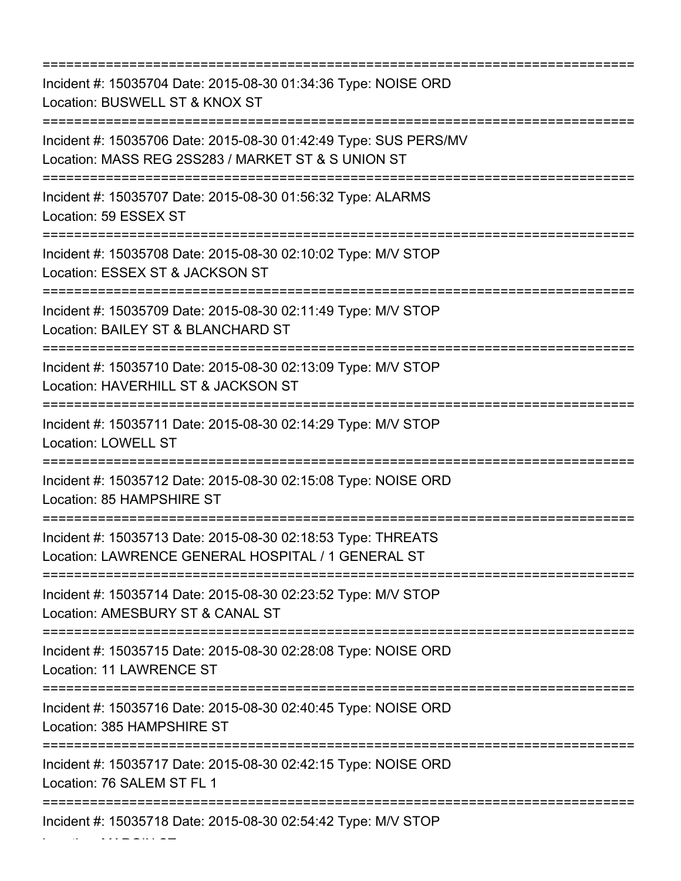=========================================================================== Incident #: 15035704 Date: 2015-08-30 01:34:36 Type: NOISE ORD Location: BUSWELL ST & KNOX ST =========================================================================== Incident #: 15035706 Date: 2015-08-30 01:42:49 Type: SUS PERS/MV Location: MASS REG 2SS283 / MARKET ST & S UNION ST =========================================================================== Incident #: 15035707 Date: 2015-08-30 01:56:32 Type: ALARMS Location: 59 ESSEX ST =========================================================================== Incident #: 15035708 Date: 2015-08-30 02:10:02 Type: M/V STOP Location: ESSEX ST & JACKSON ST =========================================================================== Incident #: 15035709 Date: 2015-08-30 02:11:49 Type: M/V STOP Location: BAILEY ST & BLANCHARD ST =========================================================================== Incident #: 15035710 Date: 2015-08-30 02:13:09 Type: M/V STOP Location: HAVERHILL ST & JACKSON ST =========================================================================== Incident #: 15035711 Date: 2015-08-30 02:14:29 Type: M/V STOP Location: LOWELL ST =========================================================================== Incident #: 15035712 Date: 2015-08-30 02:15:08 Type: NOISE ORD Location: 85 HAMPSHIRE ST =========================================================================== Incident #: 15035713 Date: 2015-08-30 02:18:53 Type: THREATS Location: LAWRENCE GENERAL HOSPITAL / 1 GENERAL ST =========================================================================== Incident #: 15035714 Date: 2015-08-30 02:23:52 Type: M/V STOP Location: AMESBURY ST & CANAL ST =========================================================================== Incident #: 15035715 Date: 2015-08-30 02:28:08 Type: NOISE ORD Location: 11 LAWRENCE ST =========================================================================== Incident #: 15035716 Date: 2015-08-30 02:40:45 Type: NOISE ORD Location: 385 HAMPSHIRE ST =========================================================================== Incident #: 15035717 Date: 2015-08-30 02:42:15 Type: NOISE ORD Location: 76 SALEM ST FL 1 =========================================================================== Incident #: 15035718 Date: 2015-08-30 02:54:42 Type: M/V STOP

Location: MARGIN ST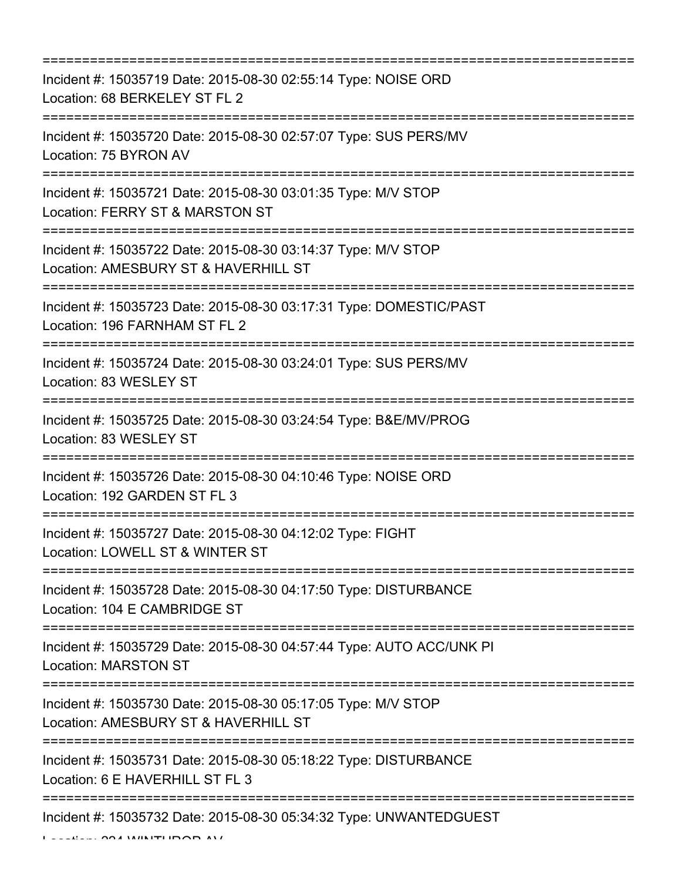| --------------------------------------                                                                                                 |
|----------------------------------------------------------------------------------------------------------------------------------------|
| Incident #: 15035719 Date: 2015-08-30 02:55:14 Type: NOISE ORD<br>Location: 68 BERKELEY ST FL 2                                        |
| Incident #: 15035720 Date: 2015-08-30 02:57:07 Type: SUS PERS/MV<br>Location: 75 BYRON AV                                              |
| Incident #: 15035721 Date: 2015-08-30 03:01:35 Type: M/V STOP<br>Location: FERRY ST & MARSTON ST<br>===============================    |
| Incident #: 15035722 Date: 2015-08-30 03:14:37 Type: M/V STOP<br>Location: AMESBURY ST & HAVERHILL ST<br>.---------------------------- |
| Incident #: 15035723 Date: 2015-08-30 03:17:31 Type: DOMESTIC/PAST<br>Location: 196 FARNHAM ST FL 2                                    |
| Incident #: 15035724 Date: 2015-08-30 03:24:01 Type: SUS PERS/MV<br>Location: 83 WESLEY ST                                             |
| Incident #: 15035725 Date: 2015-08-30 03:24:54 Type: B&E/MV/PROG<br>Location: 83 WESLEY ST                                             |
| Incident #: 15035726 Date: 2015-08-30 04:10:46 Type: NOISE ORD<br>Location: 192 GARDEN ST FL 3                                         |
| Incident #: 15035727 Date: 2015-08-30 04:12:02 Type: FIGHT<br>Location: LOWELL ST & WINTER ST                                          |
| Incident #: 15035728 Date: 2015-08-30 04:17:50 Type: DISTURBANCE<br>Location: 104 E CAMBRIDGE ST                                       |
| Incident #: 15035729 Date: 2015-08-30 04:57:44 Type: AUTO ACC/UNK PI<br><b>Location: MARSTON ST</b>                                    |
| Incident #: 15035730 Date: 2015-08-30 05:17:05 Type: M/V STOP<br>Location: AMESBURY ST & HAVERHILL ST                                  |
| Incident #: 15035731 Date: 2015-08-30 05:18:22 Type: DISTURBANCE<br>Location: 6 E HAVERHILL ST FL 3                                    |
| Incident #: 15035732 Date: 2015-08-30 05:34:32 Type: UNWANTEDGUEST                                                                     |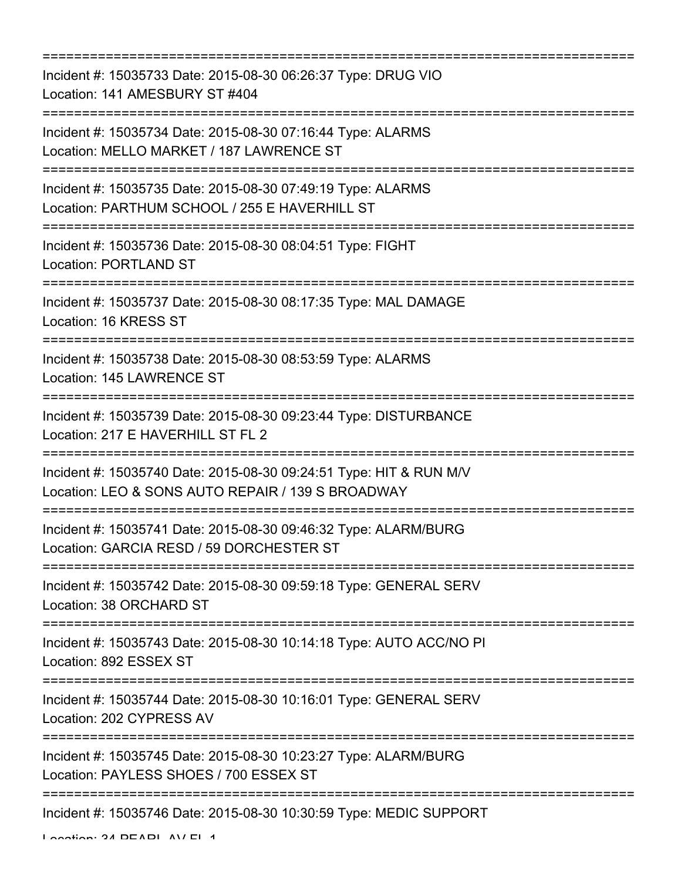=========================================================================== Incident #: 15035733 Date: 2015-08-30 06:26:37 Type: DRUG VIO Location: 141 AMESBURY ST #404 =========================================================================== Incident #: 15035734 Date: 2015-08-30 07:16:44 Type: ALARMS Location: MELLO MARKET / 187 LAWRENCE ST =========================================================================== Incident #: 15035735 Date: 2015-08-30 07:49:19 Type: ALARMS Location: PARTHUM SCHOOL / 255 E HAVERHILL ST =========================================================================== Incident #: 15035736 Date: 2015-08-30 08:04:51 Type: FIGHT Location: PORTLAND ST =========================================================================== Incident #: 15035737 Date: 2015-08-30 08:17:35 Type: MAL DAMAGE Location: 16 KRESS ST =========================================================================== Incident #: 15035738 Date: 2015-08-30 08:53:59 Type: ALARMS Location: 145 LAWRENCE ST =========================================================================== Incident #: 15035739 Date: 2015-08-30 09:23:44 Type: DISTURBANCE Location: 217 E HAVERHILL ST FL 2 =========================================================================== Incident #: 15035740 Date: 2015-08-30 09:24:51 Type: HIT & RUN M/V Location: LEO & SONS AUTO REPAIR / 139 S BROADWAY =========================================================================== Incident #: 15035741 Date: 2015-08-30 09:46:32 Type: ALARM/BURG Location: GARCIA RESD / 59 DORCHESTER ST =========================================================================== Incident #: 15035742 Date: 2015-08-30 09:59:18 Type: GENERAL SERV Location: 38 ORCHARD ST =========================================================================== Incident #: 15035743 Date: 2015-08-30 10:14:18 Type: AUTO ACC/NO PI Location: 892 ESSEX ST =========================================================================== Incident #: 15035744 Date: 2015-08-30 10:16:01 Type: GENERAL SERV Location: 202 CYPRESS AV =========================================================================== Incident #: 15035745 Date: 2015-08-30 10:23:27 Type: ALARM/BURG Location: PAYLESS SHOES / 700 ESSEX ST =========================================================================== Incident #: 15035746 Date: 2015-08-30 10:30:59 Type: MEDIC SUPPORT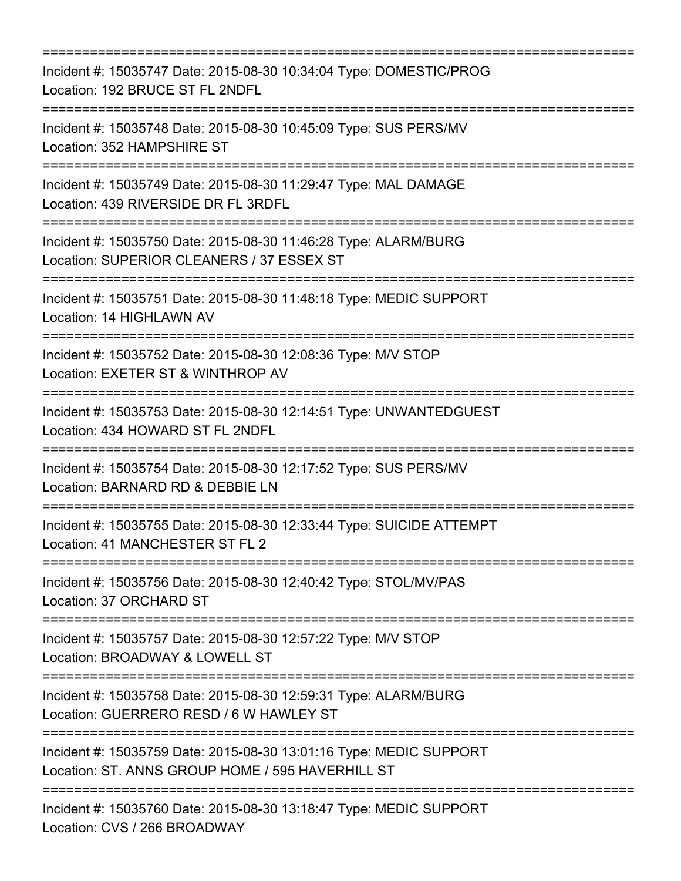| Incident #: 15035747 Date: 2015-08-30 10:34:04 Type: DOMESTIC/PROG<br>Location: 192 BRUCE ST FL 2NDFL<br>========================            |
|----------------------------------------------------------------------------------------------------------------------------------------------|
| Incident #: 15035748 Date: 2015-08-30 10:45:09 Type: SUS PERS/MV<br>Location: 352 HAMPSHIRE ST<br>----------------------------               |
| Incident #: 15035749 Date: 2015-08-30 11:29:47 Type: MAL DAMAGE<br>Location: 439 RIVERSIDE DR FL 3RDFL                                       |
| Incident #: 15035750 Date: 2015-08-30 11:46:28 Type: ALARM/BURG<br>Location: SUPERIOR CLEANERS / 37 ESSEX ST                                 |
| Incident #: 15035751 Date: 2015-08-30 11:48:18 Type: MEDIC SUPPORT<br>Location: 14 HIGHLAWN AV                                               |
| Incident #: 15035752 Date: 2015-08-30 12:08:36 Type: M/V STOP<br>Location: EXETER ST & WINTHROP AV                                           |
| ==================================<br>Incident #: 15035753 Date: 2015-08-30 12:14:51 Type: UNWANTEDGUEST<br>Location: 434 HOWARD ST FL 2NDFL |
| Incident #: 15035754 Date: 2015-08-30 12:17:52 Type: SUS PERS/MV<br>Location: BARNARD RD & DEBBIE LN                                         |
| Incident #: 15035755 Date: 2015-08-30 12:33:44 Type: SUICIDE ATTEMPT<br>Location: 41 MANCHESTER ST FL 2                                      |
| Incident #: 15035756 Date: 2015-08-30 12:40:42 Type: STOL/MV/PAS<br>Location: 37 ORCHARD ST                                                  |
| Incident #: 15035757 Date: 2015-08-30 12:57:22 Type: M/V STOP<br>Location: BROADWAY & LOWELL ST                                              |
| Incident #: 15035758 Date: 2015-08-30 12:59:31 Type: ALARM/BURG<br>Location: GUERRERO RESD / 6 W HAWLEY ST                                   |
| Incident #: 15035759 Date: 2015-08-30 13:01:16 Type: MEDIC SUPPORT<br>Location: ST. ANNS GROUP HOME / 595 HAVERHILL ST                       |
| Incident #: 15035760 Date: 2015-08-30 13:18:47 Type: MEDIC SUPPORT<br>Location: CVS / 266 BROADWAY                                           |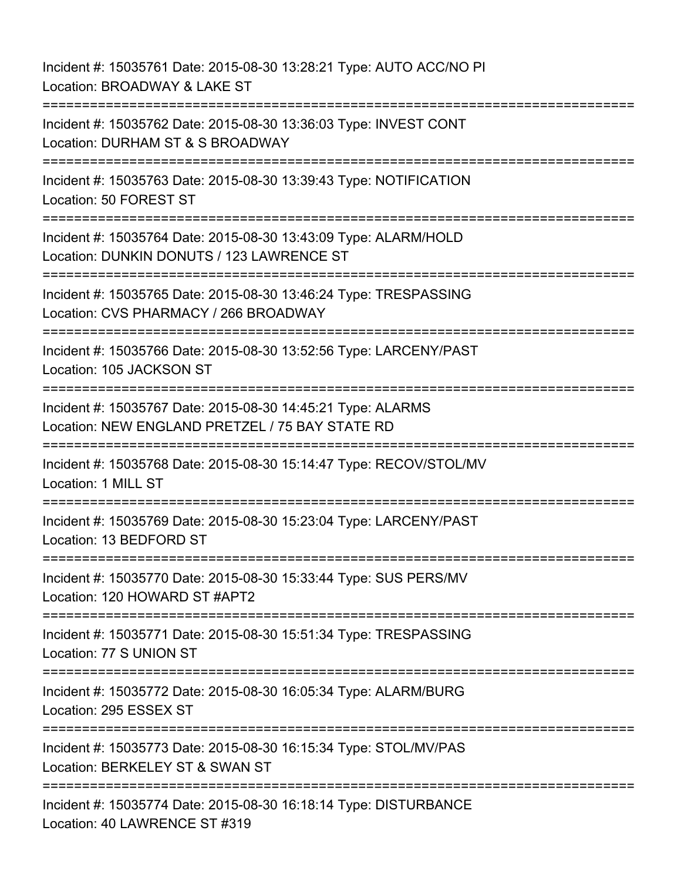Incident #: 15035761 Date: 2015-08-30 13:28:21 Type: AUTO ACC/NO PI Location: BROADWAY & LAKE ST =========================================================================== Incident #: 15035762 Date: 2015-08-30 13:36:03 Type: INVEST CONT Location: DURHAM ST & S BROADWAY =========================================================================== Incident #: 15035763 Date: 2015-08-30 13:39:43 Type: NOTIFICATION Location: 50 FOREST ST =========================================================================== Incident #: 15035764 Date: 2015-08-30 13:43:09 Type: ALARM/HOLD Location: DUNKIN DONUTS / 123 LAWRENCE ST =========================================================================== Incident #: 15035765 Date: 2015-08-30 13:46:24 Type: TRESPASSING Location: CVS PHARMACY / 266 BROADWAY =========================================================================== Incident #: 15035766 Date: 2015-08-30 13:52:56 Type: LARCENY/PAST Location: 105 JACKSON ST =========================================================================== Incident #: 15035767 Date: 2015-08-30 14:45:21 Type: ALARMS Location: NEW ENGLAND PRETZEL / 75 BAY STATE RD =========================================================================== Incident #: 15035768 Date: 2015-08-30 15:14:47 Type: RECOV/STOL/MV Location: 1 MILL ST =========================================================================== Incident #: 15035769 Date: 2015-08-30 15:23:04 Type: LARCENY/PAST Location: 13 BEDFORD ST =========================================================================== Incident #: 15035770 Date: 2015-08-30 15:33:44 Type: SUS PERS/MV Location: 120 HOWARD ST #APT2 =========================================================================== Incident #: 15035771 Date: 2015-08-30 15:51:34 Type: TRESPASSING Location: 77 S UNION ST =========================================================================== Incident #: 15035772 Date: 2015-08-30 16:05:34 Type: ALARM/BURG Location: 295 ESSEX ST =========================================================================== Incident #: 15035773 Date: 2015-08-30 16:15:34 Type: STOL/MV/PAS Location: BERKELEY ST & SWAN ST =========================================================================== Incident #: 15035774 Date: 2015-08-30 16:18:14 Type: DISTURBANCE Location: 40 LAWRENCE ST #319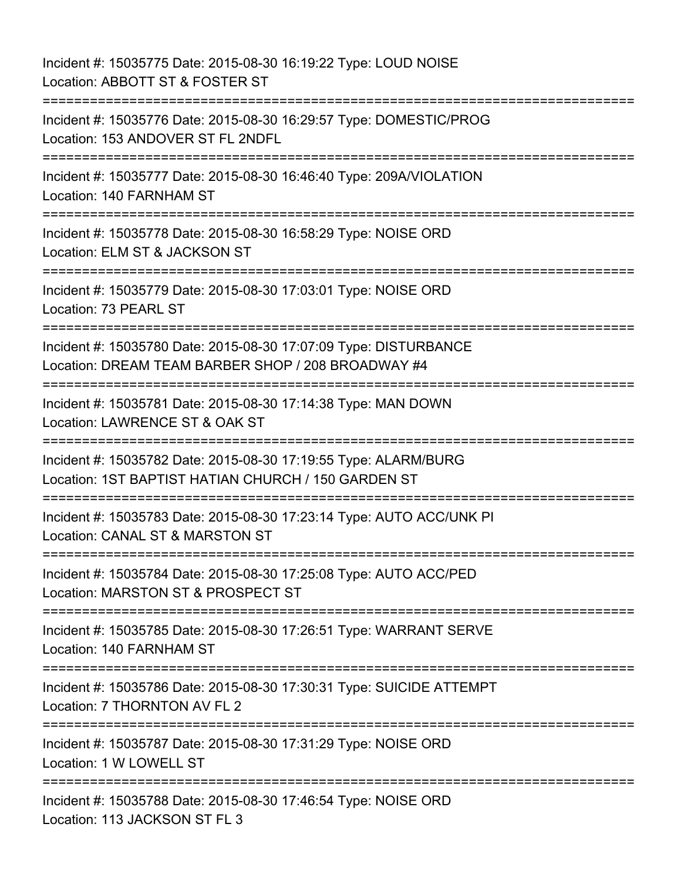Incident #: 15035775 Date: 2015-08-30 16:19:22 Type: LOUD NOISE Location: ABBOTT ST & FOSTER ST =========================================================================== Incident #: 15035776 Date: 2015-08-30 16:29:57 Type: DOMESTIC/PROG Location: 153 ANDOVER ST FL 2NDFL =========================================================================== Incident #: 15035777 Date: 2015-08-30 16:46:40 Type: 209A/VIOLATION Location: 140 FARNHAM ST =========================================================================== Incident #: 15035778 Date: 2015-08-30 16:58:29 Type: NOISE ORD Location: ELM ST & JACKSON ST =========================================================================== Incident #: 15035779 Date: 2015-08-30 17:03:01 Type: NOISE ORD Location: 73 PEARL ST =========================================================================== Incident #: 15035780 Date: 2015-08-30 17:07:09 Type: DISTURBANCE Location: DREAM TEAM BARBER SHOP / 208 BROADWAY #4 =========================================================================== Incident #: 15035781 Date: 2015-08-30 17:14:38 Type: MAN DOWN Location: LAWRENCE ST & OAK ST =========================================================================== Incident #: 15035782 Date: 2015-08-30 17:19:55 Type: ALARM/BURG Location: 1ST BAPTIST HATIAN CHURCH / 150 GARDEN ST =========================================================================== Incident #: 15035783 Date: 2015-08-30 17:23:14 Type: AUTO ACC/UNK PI Location: CANAL ST & MARSTON ST =========================================================================== Incident #: 15035784 Date: 2015-08-30 17:25:08 Type: AUTO ACC/PED Location: MARSTON ST & PROSPECT ST =========================================================================== Incident #: 15035785 Date: 2015-08-30 17:26:51 Type: WARRANT SERVE Location: 140 FARNHAM ST =========================================================================== Incident #: 15035786 Date: 2015-08-30 17:30:31 Type: SUICIDE ATTEMPT Location: 7 THORNTON AV FL 2 =========================================================================== Incident #: 15035787 Date: 2015-08-30 17:31:29 Type: NOISE ORD Location: 1 W LOWELL ST =========================================================================== Incident #: 15035788 Date: 2015-08-30 17:46:54 Type: NOISE ORD Location: 113 JACKSON ST FL 3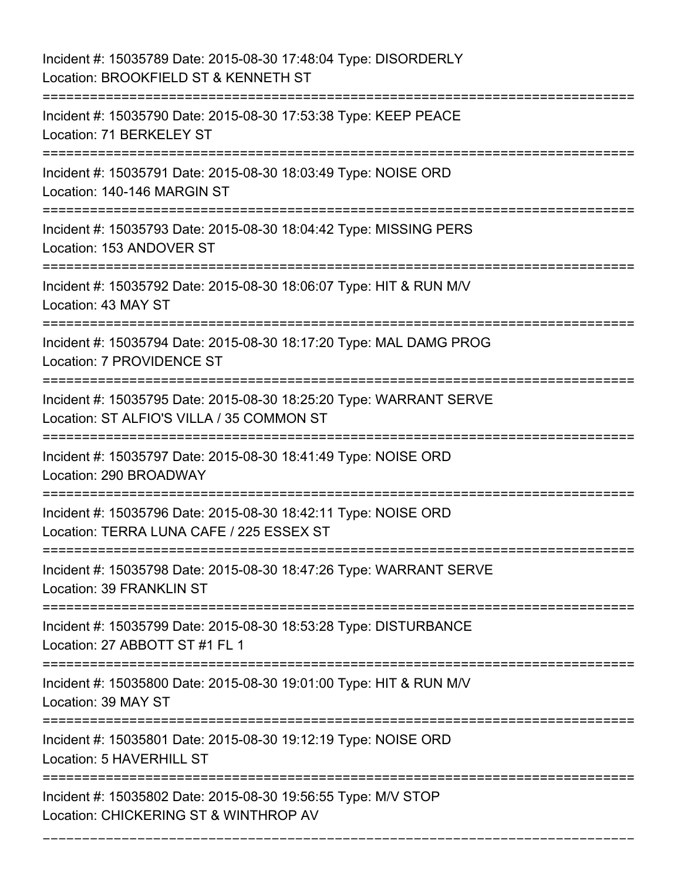Incident #: 15035789 Date: 2015-08-30 17:48:04 Type: DISORDERLY Location: BROOKFIELD ST & KENNETH ST =========================================================================== Incident #: 15035790 Date: 2015-08-30 17:53:38 Type: KEEP PEACE Location: 71 BERKELEY ST =========================================================================== Incident #: 15035791 Date: 2015-08-30 18:03:49 Type: NOISE ORD Location: 140-146 MARGIN ST =========================================================================== Incident #: 15035793 Date: 2015-08-30 18:04:42 Type: MISSING PERS Location: 153 ANDOVER ST =========================================================================== Incident #: 15035792 Date: 2015-08-30 18:06:07 Type: HIT & RUN M/V Location: 43 MAY ST =========================================================================== Incident #: 15035794 Date: 2015-08-30 18:17:20 Type: MAL DAMG PROG Location: 7 PROVIDENCE ST =========================================================================== Incident #: 15035795 Date: 2015-08-30 18:25:20 Type: WARRANT SERVE Location: ST ALFIO'S VILLA / 35 COMMON ST =========================================================================== Incident #: 15035797 Date: 2015-08-30 18:41:49 Type: NOISE ORD Location: 290 BROADWAY =========================================================================== Incident #: 15035796 Date: 2015-08-30 18:42:11 Type: NOISE ORD Location: TERRA LUNA CAFE / 225 ESSEX ST =========================================================================== Incident #: 15035798 Date: 2015-08-30 18:47:26 Type: WARRANT SERVE Location: 39 FRANKLIN ST =========================================================================== Incident #: 15035799 Date: 2015-08-30 18:53:28 Type: DISTURBANCE Location: 27 ABBOTT ST #1 FL 1 =========================================================================== Incident #: 15035800 Date: 2015-08-30 19:01:00 Type: HIT & RUN M/V Location: 39 MAY ST =========================================================================== Incident #: 15035801 Date: 2015-08-30 19:12:19 Type: NOISE ORD Location: 5 HAVERHILL ST =========================================================================== Incident #: 15035802 Date: 2015-08-30 19:56:55 Type: M/V STOP Location: CHICKERING ST & WINTHROP AV

===========================================================================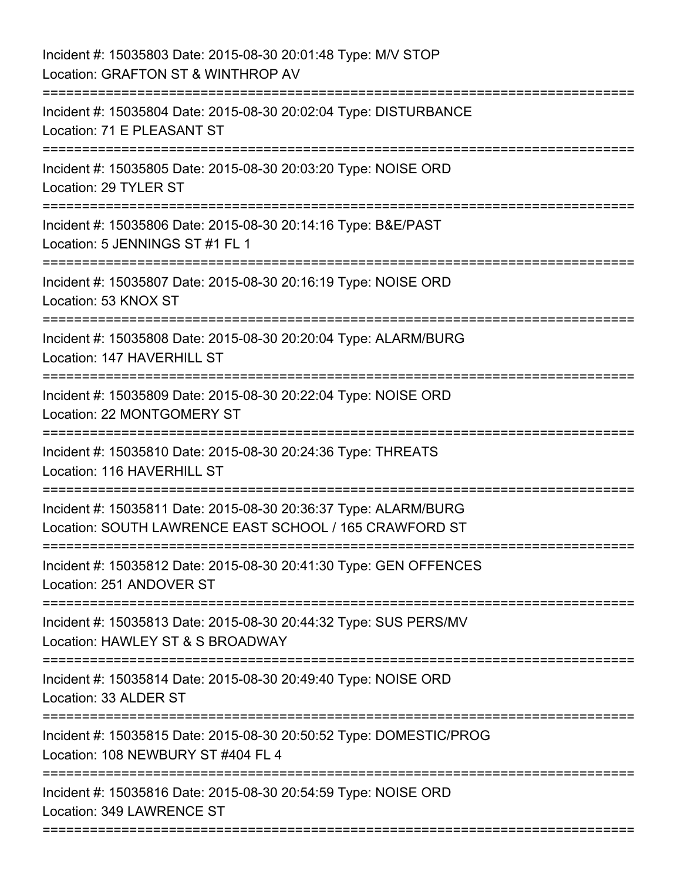| Incident #: 15035803 Date: 2015-08-30 20:01:48 Type: M/V STOP<br>Location: GRAFTON ST & WINTHROP AV                       |
|---------------------------------------------------------------------------------------------------------------------------|
| Incident #: 15035804 Date: 2015-08-30 20:02:04 Type: DISTURBANCE<br>Location: 71 E PLEASANT ST                            |
| Incident #: 15035805 Date: 2015-08-30 20:03:20 Type: NOISE ORD<br>Location: 29 TYLER ST                                   |
| Incident #: 15035806 Date: 2015-08-30 20:14:16 Type: B&E/PAST<br>Location: 5 JENNINGS ST #1 FL 1                          |
| Incident #: 15035807 Date: 2015-08-30 20:16:19 Type: NOISE ORD<br>Location: 53 KNOX ST                                    |
| Incident #: 15035808 Date: 2015-08-30 20:20:04 Type: ALARM/BURG<br>Location: 147 HAVERHILL ST                             |
| Incident #: 15035809 Date: 2015-08-30 20:22:04 Type: NOISE ORD<br>Location: 22 MONTGOMERY ST                              |
| Incident #: 15035810 Date: 2015-08-30 20:24:36 Type: THREATS<br>Location: 116 HAVERHILL ST                                |
| Incident #: 15035811 Date: 2015-08-30 20:36:37 Type: ALARM/BURG<br>Location: SOUTH LAWRENCE EAST SCHOOL / 165 CRAWFORD ST |
| Incident #: 15035812 Date: 2015-08-30 20:41:30 Type: GEN OFFENCES<br>Location: 251 ANDOVER ST                             |
| Incident #: 15035813 Date: 2015-08-30 20:44:32 Type: SUS PERS/MV<br>Location: HAWLEY ST & S BROADWAY                      |
| Incident #: 15035814 Date: 2015-08-30 20:49:40 Type: NOISE ORD<br>Location: 33 ALDER ST                                   |
| Incident #: 15035815 Date: 2015-08-30 20:50:52 Type: DOMESTIC/PROG<br>Location: 108 NEWBURY ST #404 FL 4                  |
| Incident #: 15035816 Date: 2015-08-30 20:54:59 Type: NOISE ORD<br>Location: 349 LAWRENCE ST                               |

===========================================================================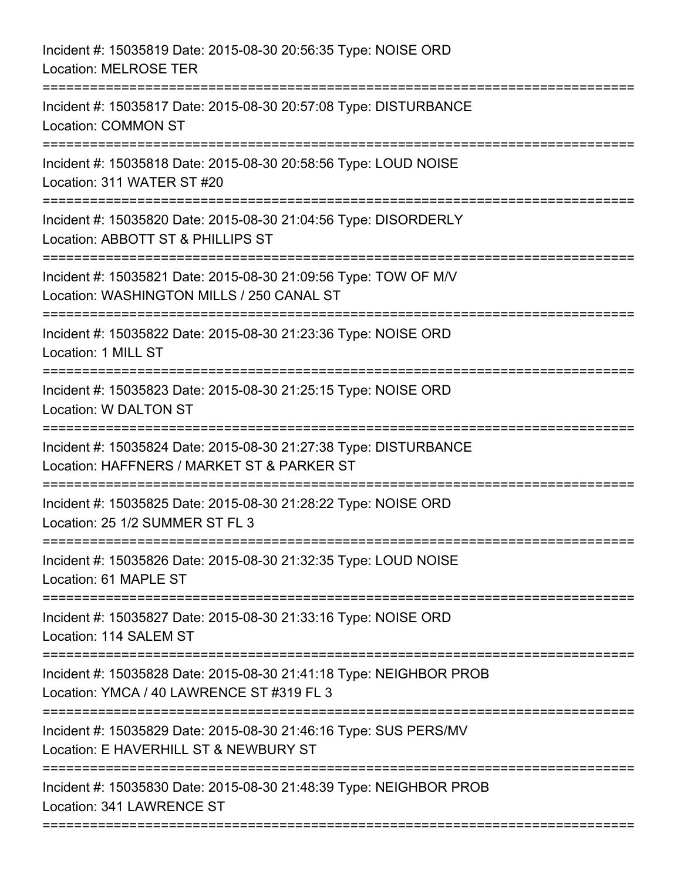| Incident #: 15035819 Date: 2015-08-30 20:56:35 Type: NOISE ORD<br><b>Location: MELROSE TER</b>                                                |
|-----------------------------------------------------------------------------------------------------------------------------------------------|
| Incident #: 15035817 Date: 2015-08-30 20:57:08 Type: DISTURBANCE<br><b>Location: COMMON ST</b>                                                |
| Incident #: 15035818 Date: 2015-08-30 20:58:56 Type: LOUD NOISE<br>Location: 311 WATER ST #20<br>----------------------------                 |
| Incident #: 15035820 Date: 2015-08-30 21:04:56 Type: DISORDERLY<br>Location: ABBOTT ST & PHILLIPS ST                                          |
| Incident #: 15035821 Date: 2015-08-30 21:09:56 Type: TOW OF M/V<br>Location: WASHINGTON MILLS / 250 CANAL ST<br>============================= |
| Incident #: 15035822 Date: 2015-08-30 21:23:36 Type: NOISE ORD<br>Location: 1 MILL ST                                                         |
| Incident #: 15035823 Date: 2015-08-30 21:25:15 Type: NOISE ORD<br>Location: W DALTON ST                                                       |
| Incident #: 15035824 Date: 2015-08-30 21:27:38 Type: DISTURBANCE<br>Location: HAFFNERS / MARKET ST & PARKER ST                                |
| Incident #: 15035825 Date: 2015-08-30 21:28:22 Type: NOISE ORD<br>Location: 25 1/2 SUMMER ST FL 3                                             |
| Incident #: 15035826 Date: 2015-08-30 21:32:35 Type: LOUD NOISE<br>Location: 61 MAPLE ST                                                      |
| Incident #: 15035827 Date: 2015-08-30 21:33:16 Type: NOISE ORD<br>Location: 114 SALEM ST                                                      |
| Incident #: 15035828 Date: 2015-08-30 21:41:18 Type: NEIGHBOR PROB<br>Location: YMCA / 40 LAWRENCE ST #319 FL 3                               |
| Incident #: 15035829 Date: 2015-08-30 21:46:16 Type: SUS PERS/MV<br>Location: E HAVERHILL ST & NEWBURY ST                                     |
| Incident #: 15035830 Date: 2015-08-30 21:48:39 Type: NEIGHBOR PROB<br>Location: 341 LAWRENCE ST                                               |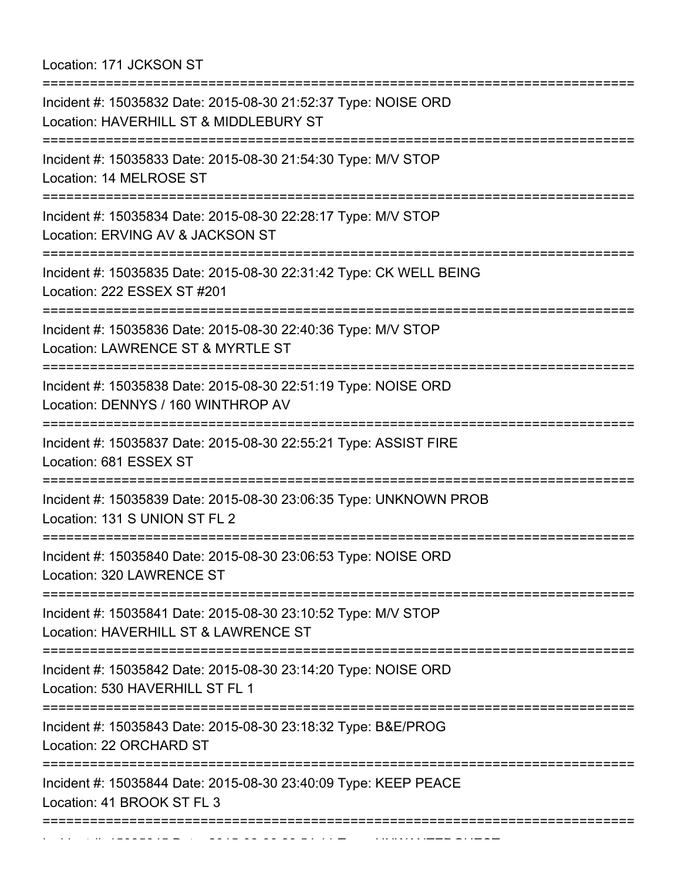Location: 171 JCKSON ST

| Incident #: 15035832 Date: 2015-08-30 21:52:37 Type: NOISE ORD<br>Location: HAVERHILL ST & MIDDLEBURY ST                             |
|--------------------------------------------------------------------------------------------------------------------------------------|
| Incident #: 15035833 Date: 2015-08-30 21:54:30 Type: M/V STOP<br>Location: 14 MELROSE ST                                             |
| :==============================<br>Incident #: 15035834 Date: 2015-08-30 22:28:17 Type: M/V STOP<br>Location: ERVING AV & JACKSON ST |
| Incident #: 15035835 Date: 2015-08-30 22:31:42 Type: CK WELL BEING<br>Location: 222 ESSEX ST #201                                    |
| Incident #: 15035836 Date: 2015-08-30 22:40:36 Type: M/V STOP<br>Location: LAWRENCE ST & MYRTLE ST                                   |
| :======================<br>Incident #: 15035838 Date: 2015-08-30 22:51:19 Type: NOISE ORD<br>Location: DENNYS / 160 WINTHROP AV      |
| :=====================<br>Incident #: 15035837 Date: 2015-08-30 22:55:21 Type: ASSIST FIRE<br>Location: 681 ESSEX ST                 |
| :========================<br>Incident #: 15035839 Date: 2015-08-30 23:06:35 Type: UNKNOWN PROB<br>Location: 131 S UNION ST FL 2      |
| Incident #: 15035840 Date: 2015-08-30 23:06:53 Type: NOISE ORD<br>Location: 320 LAWRENCE ST                                          |
| Incident #: 15035841 Date: 2015-08-30 23:10:52 Type: M/V STOP<br>Location: HAVERHILL ST & LAWRENCE ST                                |
| Incident #: 15035842 Date: 2015-08-30 23:14:20 Type: NOISE ORD<br>Location: 530 HAVERHILL ST FL 1                                    |
| Incident #: 15035843 Date: 2015-08-30 23:18:32 Type: B&E/PROG<br>Location: 22 ORCHARD ST                                             |
| Incident #: 15035844 Date: 2015-08-30 23:40:09 Type: KEEP PEACE<br>Location: 41 BROOK ST FL 3<br>,,,,,,,,,,,,,,,,                    |
|                                                                                                                                      |